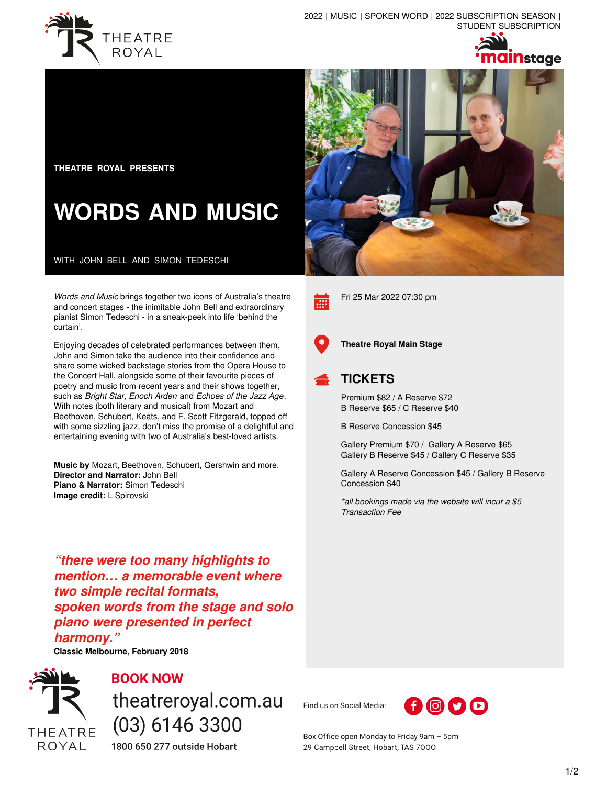



**THEATRE ROYAL PRESENTS**

# **WORDS AND MUSIC**

WITH JOHN BELL AND SIMON TEDESCHI

*Words and Music* brings together two icons of Australia's theatre and concert stages - the inimitable John Bell and extraordinary pianist Simon Tedeschi - in a sneak-peek into life 'behind the curtain'.

Enjoying decades of celebrated performances between them, John and Simon take the audience into their confidence and share some wicked backstage stories from the Opera House to the Concert Hall, alongside some of their favourite pieces of poetry and music from recent years and their shows together, such as *Bright Star, Enoch Arden* and *Echoes of the Jazz Age*. With notes (both literary and musical) from Mozart and Beethoven, Schubert, Keats, and F. Scott Fitzgerald, topped off with some sizzling jazz, don't miss the promise of a delightful and entertaining evening with two of Australia's best-loved artists.

**Music by** Mozart, Beethoven, Schubert, Gershwin and more. **Director and Narrator:** John Bell **Piano & Narrator:** Simon Tedeschi **Image credit:** L Spirovski

*"there were too many highlights to mention… a memorable event where two simple recital formats, spoken words from the stage and solo piano were presented in perfect harmony."*

**Classic Melbourne, February 2018**



## **BOOK NOW**

theatreroyal.com.au  $(03)$  6146 3300

1800 650 277 outside Hobart





Fri 25 Mar 2022 07:30 pm



**Theatre Royal Main Stage**

### **TICKETS**

Premium \$82 / A Reserve \$72 B Reserve \$65 / C Reserve \$40

B Reserve Concession \$45

Gallery Premium \$70 / Gallery A Reserve \$65 Gallery B Reserve \$45 / Gallery C Reserve \$35

Gallery A Reserve Concession \$45 / Gallery B Reserve Concession \$40

*\*all bookings made via the website will incur a \$5 Transaction Fee*

Find us on Social Media:



Box Office open Monday to Friday 9am - 5pm 29 Campbell Street, Hobart, TAS 7000